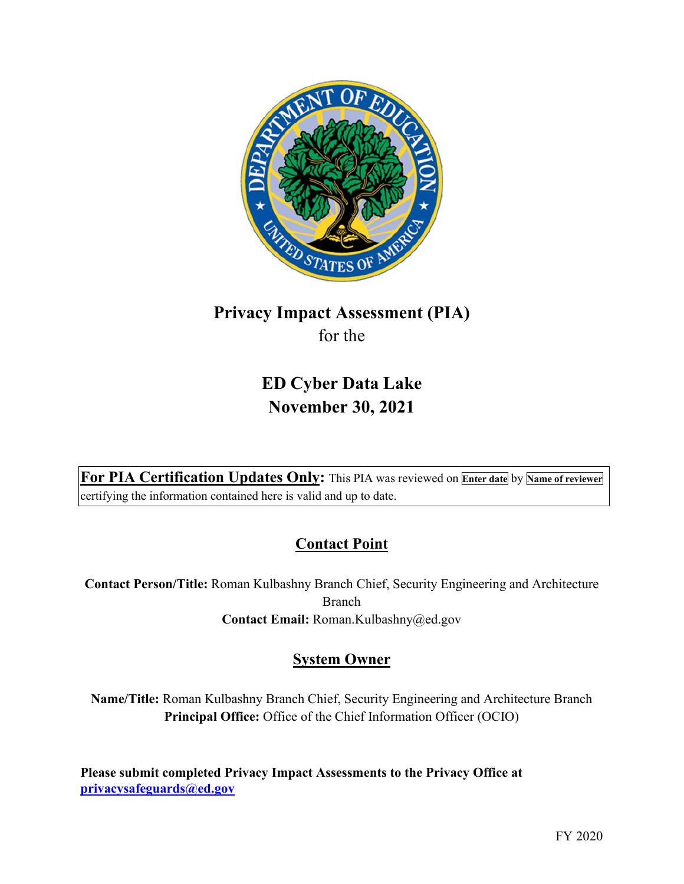

# **Privacy Impact Assessment (PIA)**  for the

# **ED Cyber Data Lake**

 **November 30, 2021 For PIA Certification Updates Only:** This PIA was reviewed on **Enter date** by **Name of reviewer**  certifying the information contained here is valid and up to date.

# **Contact Point**

 **Contact Person/Title:** Roman Kulbashny Branch Chief, Security Engineering and Architecture Branch **Contact Email:** [Roman.Kulbashny@ed.gov](mailto:Roman.Kulbashny@ed.gov)

# **System Owner**

 **Name/Title:** Roman Kulbashny Branch Chief, Security Engineering and Architecture Branch **Principal Office:** Office of the Chief Information Officer (OCIO)

 **[privacysafeguards@ed.gov](mailto:privacysafeguards@ed.gov) Please submit completed Privacy Impact Assessments to the Privacy Office at**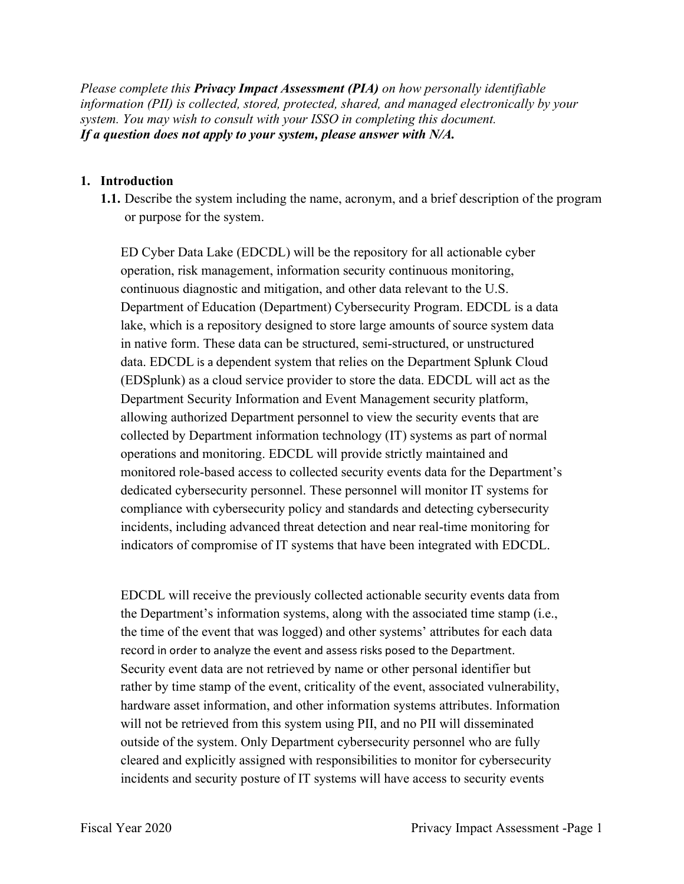*Please complete this Privacy Impact Assessment (PIA) on how personally identifiable information (PII) is collected, stored, protected, shared, and managed electronically by your system. You may wish to consult with your ISSO in completing this document. If a question does not apply to your system, please answer with N/A.* 

#### **1. Introduction**

 **1.1.** Describe the system including the name, acronym, and a brief description of the program or purpose for the system.

 lake, which is a repository designed to store large amounts of source system data in native form. These data can be structured, semi-structured, or unstructured ED Cyber Data Lake (EDCDL) will be the repository for all actionable cyber operation, risk management, information security continuous monitoring, continuous diagnostic and mitigation, and other data relevant to the U.S. Department of Education (Department) Cybersecurity Program. EDCDL is a data data. EDCDL is a dependent system that relies on the Department Splunk Cloud (EDSplunk) as a cloud service provider to store the data. EDCDL will act as the Department Security Information and Event Management security platform, allowing authorized Department personnel to view the security events that are collected by Department information technology (IT) systems as part of normal operations and monitoring. EDCDL will provide strictly maintained and monitored role-based access to collected security events data for the Department's dedicated cybersecurity personnel. These personnel will monitor IT systems for compliance with cybersecurity policy and standards and detecting cybersecurity incidents, including advanced threat detection and near real-time monitoring for indicators of compromise of IT systems that have been integrated with EDCDL.

 the Department's information systems, along with the associated time stamp (i.e., the time of the event that was logged) and other systems' attributes for each data record in order to analyze the event and assess risks posed to the Department. will not be retrieved from this system using PII, and no PII will disseminated EDCDL will receive the previously collected actionable security events data from Security event data are not retrieved by name or other personal identifier but rather by time stamp of the event, criticality of the event, associated vulnerability, hardware asset information, and other information systems attributes. Information outside of the system. Only Department cybersecurity personnel who are fully cleared and explicitly assigned with responsibilities to monitor for cybersecurity incidents and security posture of IT systems will have access to security events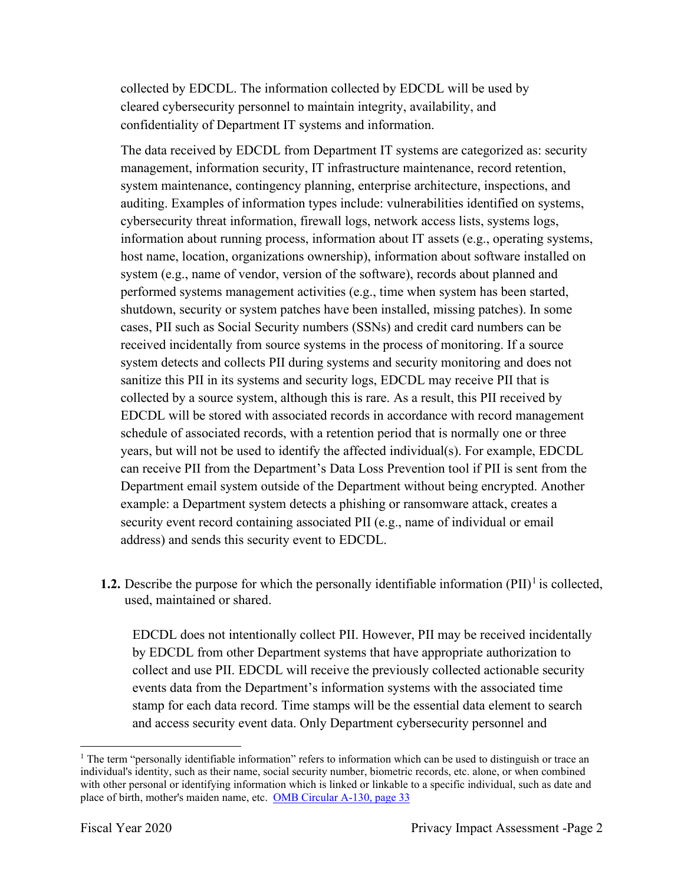collected by EDCDL. The information collected by EDCDL will be used by cleared cybersecurity personnel to maintain integrity, availability, and confidentiality of Department IT systems and information.

 received incidentally from source systems in the process of monitoring. If a source can receive PII from the Department's Data Loss Prevention tool if PII is sent from the example: a Department system detects a phishing or ransomware attack, creates a security event record containing associated PII (e.g., name of individual or email The data received by EDCDL from Department IT systems are categorized as: security management, information security, IT infrastructure maintenance, record retention, system maintenance, contingency planning, enterprise architecture, inspections, and auditing. Examples of information types include: vulnerabilities identified on systems, cybersecurity threat information, firewall logs, network access lists, systems logs, information about running process, information about IT assets (e.g., operating systems, host name, location, organizations ownership), information about software installed on system (e.g., name of vendor, version of the software), records about planned and performed systems management activities (e.g., time when system has been started, shutdown, security or system patches have been installed, missing patches). In some cases, PII such as Social Security numbers (SSNs) and credit card numbers can be system detects and collects PII during systems and security monitoring and does not sanitize this PII in its systems and security logs, EDCDL may receive PII that is collected by a source system, although this is rare. As a result, this PII received by EDCDL will be stored with associated records in accordance with record management schedule of associated records, with a retention period that is normally one or three years, but will not be used to identify the affected individual(s). For example, EDCDL Department email system outside of the Department without being encrypted. Another address) and sends this security event to EDCDL.

**1.2.** Describe the purpose for which the personally identifiable information  $(PII)^{1}$  is collected, used, maintained or shared.

EDCDL does not intentionally collect PII. However, PII may be received incidentally by EDCDL from other Department systems that have appropriate authorization to collect and use PII. EDCDL will receive the previously collected actionable security events data from the Department's information systems with the associated time stamp for each data record. Time stamps will be the essential data element to search and access security event data. Only Department cybersecurity personnel and

place of birth, mother's maiden name, etc. OMB Circular A-130, page 33 <sup>1</sup> The term "personally identifiable information" refers to information which can be used to distinguish or trace an individual's identity, such as their name, social security number, biometric records, etc. alone, or when combined with other personal or identifying information which is linked or linkable to a specific individual, such as date and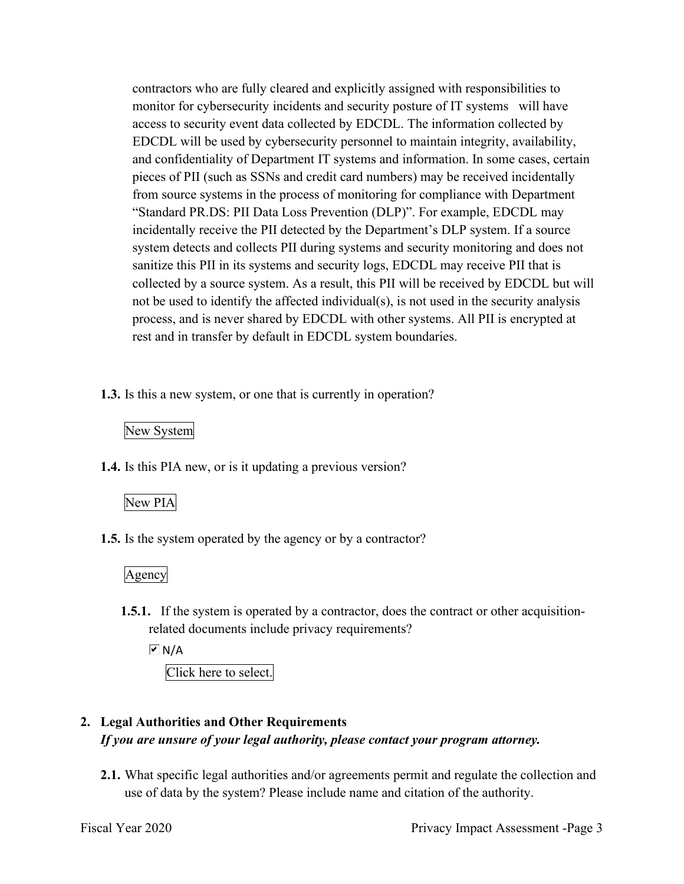contractors who are fully cleared and explicitly assigned with responsibilities to monitor for cybersecurity incidents and security posture of IT systems will have access to security event data collected by EDCDL. The information collected by EDCDL will be used by cybersecurity personnel to maintain integrity, availability, and confidentiality of Department IT systems and information. In some cases, certain pieces of PII (such as SSNs and credit card numbers) may be received incidentally from source systems in the process of monitoring for compliance with Department "Standard PR.DS: PII Data Loss Prevention (DLP)". For example, EDCDL may incidentally receive the PII detected by the Department's DLP system. If a source system detects and collects PII during systems and security monitoring and does not sanitize this PII in its systems and security logs, EDCDL may receive PII that is collected by a source system. As a result, this PII will be received by EDCDL but will not be used to identify the affected individual(s), is not used in the security analysis process, and is never shared by EDCDL with other systems. All PII is encrypted at rest and in transfer by default in EDCDL system boundaries.

**1.3.** Is this a new system, or one that is currently in operation?

# New System

**1.4.** Is this PIA new, or is it updating a previous version?

# New PIA

**1.5.** Is the system operated by the agency or by a contractor?

# Agency

**1.5.1.** If the system is operated by a contractor, does the contract or other acquisitionrelated documents include privacy requirements?

 $\overline{\triangleright}$  N/A

Click here to select.

# **2. Legal Authorities and Other Requirements**  *If you are unsure of your legal authority, please contact your program attorney.*

**2.1.** What specific legal authorities and/or agreements permit and regulate the collection and use of data by the system? Please include name and citation of the authority.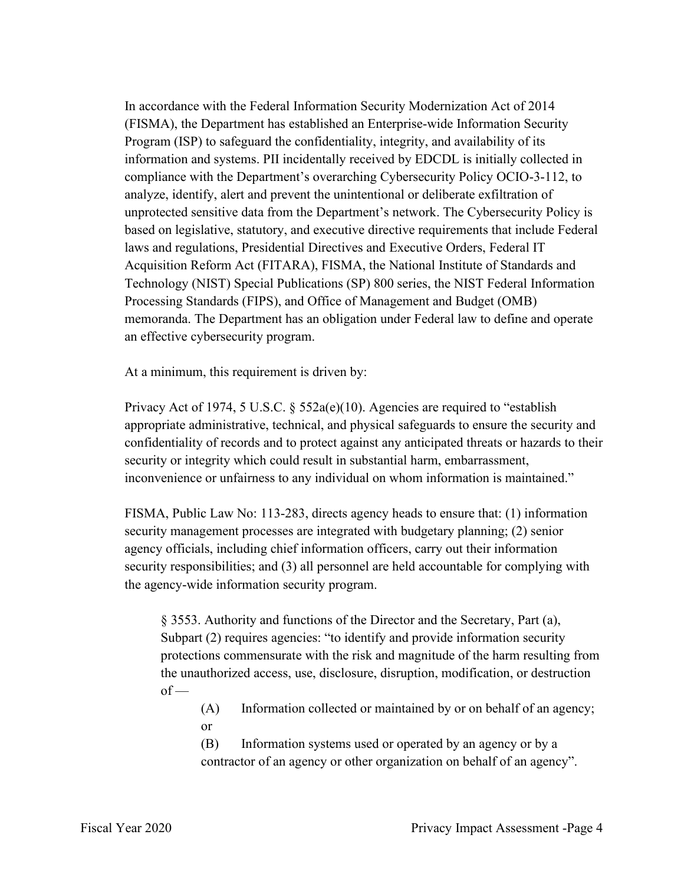In accordance with the Federal Information Security Modernization Act of 2014 Acquisition Reform Act (FITARA), FISMA, the National Institute of Standards and Technology (NIST) Special Publications (SP) 800 series, the NIST Federal Information (FISMA), the Department has established an Enterprise-wide Information Security Program (ISP) to safeguard the confidentiality, integrity, and availability of its information and systems. PII incidentally received by EDCDL is initially collected in compliance with the Department's overarching Cybersecurity Policy OCIO-3-112, to analyze, identify, alert and prevent the unintentional or deliberate exfiltration of unprotected sensitive data from the Department's network. The Cybersecurity Policy is based on legislative, statutory, and executive directive requirements that include Federal laws and regulations, Presidential Directives and Executive Orders, Federal IT Processing Standards (FIPS), and Office of Management and Budget (OMB) memoranda. The Department has an obligation under Federal law to define and operate an effective cybersecurity program.

At a minimum, this requirement is driven by:

Privacy Act of 1974, 5 U.S.C. § 552a(e)(10). Agencies are required to "establish appropriate administrative, technical, and physical safeguards to ensure the security and confidentiality of records and to protect against any anticipated threats or hazards to their security or integrity which could result in substantial harm, embarrassment, inconvenience or unfairness to any individual on whom information is maintained."

FISMA, Public Law No: 113-283, directs agency heads to ensure that: (1) information security management processes are integrated with budgetary planning; (2) senior agency officials, including chief information officers, carry out their information security responsibilities; and (3) all personnel are held accountable for complying with the agency-wide information security program.

§ 3553. Authority and functions of the Director and the Secretary, Part (a), Subpart (2) requires agencies: "to identify and provide information security protections commensurate with the risk and magnitude of the harm resulting from the unauthorized access, use, disclosure, disruption, modification, or destruction  $of -$ 

(A) Information collected or maintained by or on behalf of an agency; or

(B) Information systems used or operated by an agency or by a contractor of an agency or other organization on behalf of an agency".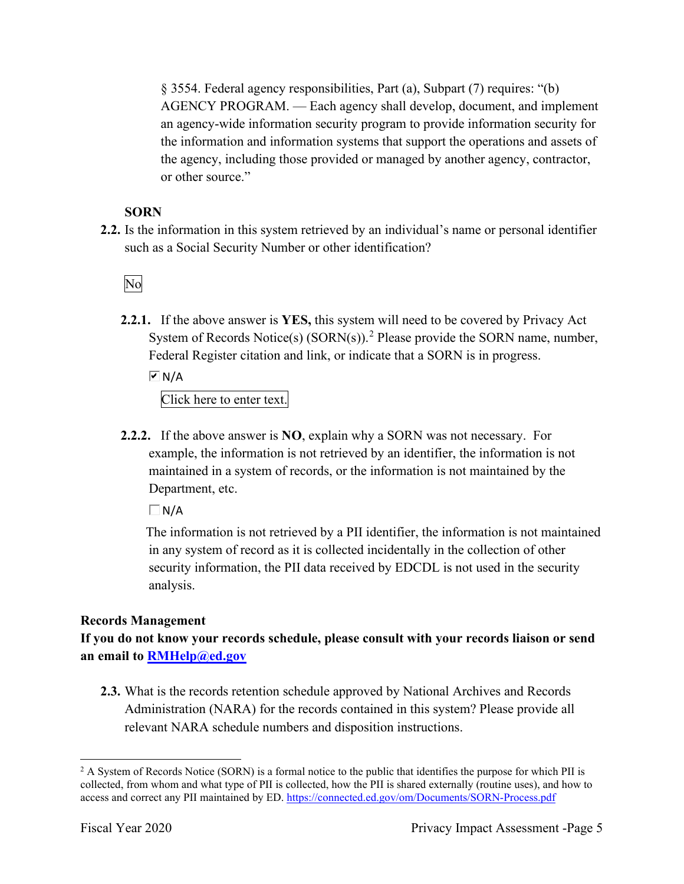the information and information systems that support the operations and assets of § 3554. Federal agency responsibilities, Part (a), Subpart (7) requires: "(b) AGENCY PROGRAM. — Each agency shall develop, document, and implement an agency-wide information security program to provide information security for the agency, including those provided or managed by another agency, contractor, or other source."

# **SORN**

such as a Social Security Number or other identification?<br>No **2.2.** Is the information in this system retrieved by an individual's name or personal identifier

**2.2.1.** If the above answer is **YES,** this system will need to be covered by Privacy Act System of Records Notice(s)  $(SORN(s))$ .<sup>2</sup> Please provide the SORN name, number, Federal Register citation and link, or indicate that a SORN is in progress.

 $\overline{M}$  N/A

Click here to enter text.

 **2.2.2.** If the above answer is **NO**, explain why a SORN was not necessary. For Department, etc. example, the information is not retrieved by an identifier, the information is not maintained in a system of records, or the information is not maintained by the

 $\Box N/A$ 

The information is not retrieved by a PII identifier, the information is not maintained in any system of record as it is collected incidentally in the collection of other security information, the PII data received by EDCDL is not used in the security analysis.

# **Records Management**

**If you do not know your records schedule, please consult with your records liaison or send an email to [RMHelp@ed.gov](mailto:RMHelp@ed.gov)** 

 **2.3.** What is the records retention schedule approved by National Archives and Records Administration (NARA) for the records contained in this system? Please provide all relevant NARA schedule numbers and disposition instructions.

access and correct any PII maintained by ED. <u>https://connected.ed.gov/om/Documents/SORN-Process.pdf</u><br>Fiscal Year 2020 Privacy Impact Assessment -Page 5  $2$  A System of Records Notice (SORN) is a formal notice to the public that identifies the purpose for which PII is collected, from whom and what type of PII is collected, how the PII is shared externally (routine uses), and how to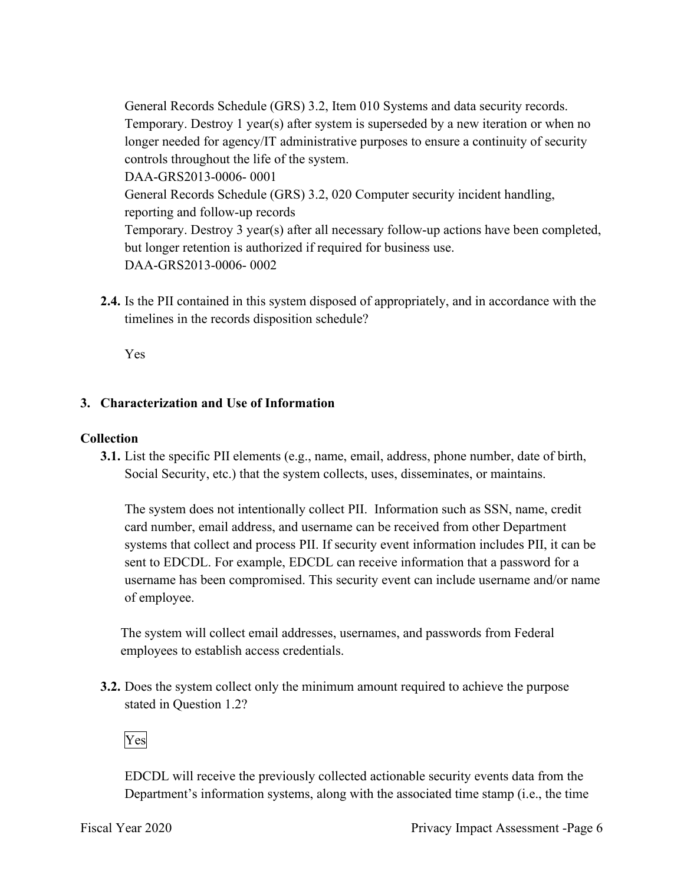longer needed for agency/IT administrative purposes to ensure a continuity of security DAA-GRS2013-0006- 0001 Temporary. Destroy 3 year(s) after all necessary follow-up actions have been completed, DAA-GRS2013-0006- 0002 General Records Schedule (GRS) 3.2, Item 010 Systems and data security records. Temporary. Destroy 1 year(s) after system is superseded by a new iteration or when no controls throughout the life of the system. General Records Schedule (GRS) 3.2, 020 Computer security incident handling, reporting and follow-up records but longer retention is authorized if required for business use.

**2.4.** Is the PII contained in this system disposed of appropriately, and in accordance with the timelines in the records disposition schedule?

Yes

# **3. Characterization and Use of Information**

#### **Collection**

**3.1.** List the specific PII elements (e.g., name, email, address, phone number, date of birth, Social Security, etc.) that the system collects, uses, disseminates, or maintains.

 sent to EDCDL. For example, EDCDL can receive information that a password for a The system does not intentionally collect PII. Information such as SSN, name, credit card number, email address, and username can be received from other Department systems that collect and process PII. If security event information includes PII, it can be username has been compromised. This security event can include username and/or name of employee.

The system will collect email addresses, usernames, and passwords from Federal employees to establish access credentials.

stated in Question 1.2?<br>Yes **3.2.** Does the system collect only the minimum amount required to achieve the purpose

EDCDL will receive the previously collected actionable security events data from the Department's information systems, along with the associated time stamp (i.e., the time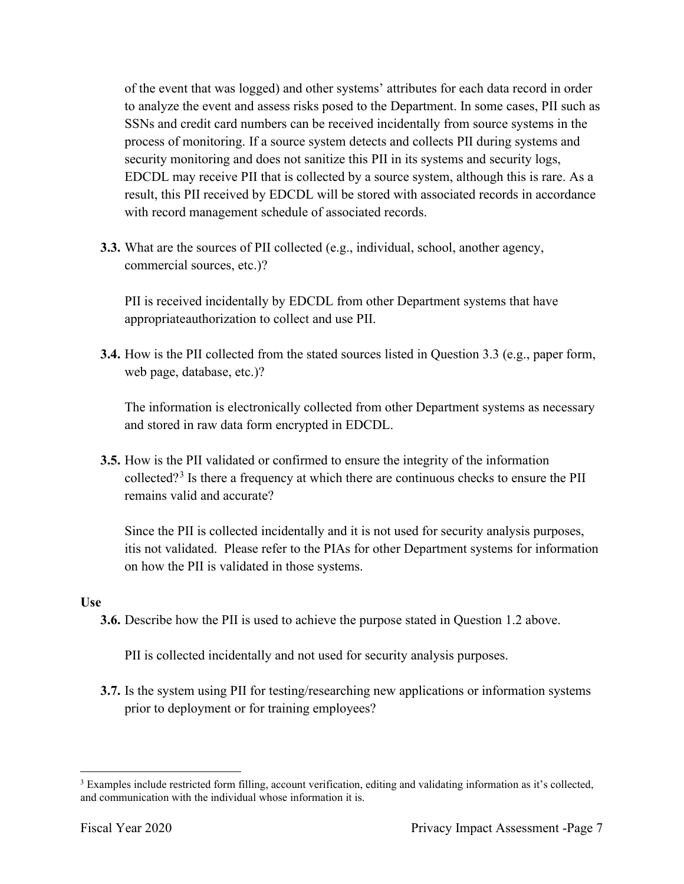with record management schedule of associated records. of the event that was logged) and other systems' attributes for each data record in order to analyze the event and assess risks posed to the Department. In some cases, PII such as SSNs and credit card numbers can be received incidentally from source systems in the process of monitoring. If a source system detects and collects PII during systems and security monitoring and does not sanitize this PII in its systems and security logs, EDCDL may receive PII that is collected by a source system, although this is rare. As a result, this PII received by EDCDL will be stored with associated records in accordance

**3.3.** What are the sources of PII collected (e.g., individual, school, another agency, commercial sources, etc.)?

 appropriateauthorization to collect and use PII. PII is received incidentally by EDCDL from other Department systems that have

 **3.4.** How is the PII collected from the stated sources listed in Question 3.3 (e.g., paper form, web page, database, etc.)?

The information is electronically collected from other Department systems as necessary and stored in raw data form encrypted in EDCDL.

**3.5.** How is the PII validated or confirmed to ensure the integrity of the information collected?<sup>3</sup> Is there a frequency at which there are continuous checks to ensure the PII remains valid and accurate?

Since the PII is collected incidentally and it is not used for security analysis purposes, itis not validated. Please refer to the PIAs for other Department systems for information on how the PII is validated in those systems.

# **Use**

**3.6.** Describe how the PII is used to achieve the purpose stated in Question 1.2 above.

PII is collected incidentally and not used for security analysis purposes.

 **3.7.** Is the system using PII for testing/researching new applications or information systems prior to deployment or for training employees?

and communication with the individual whose information it is. <sup>3</sup> Examples include restricted form filling, account verification, editing and validating information as it's collected,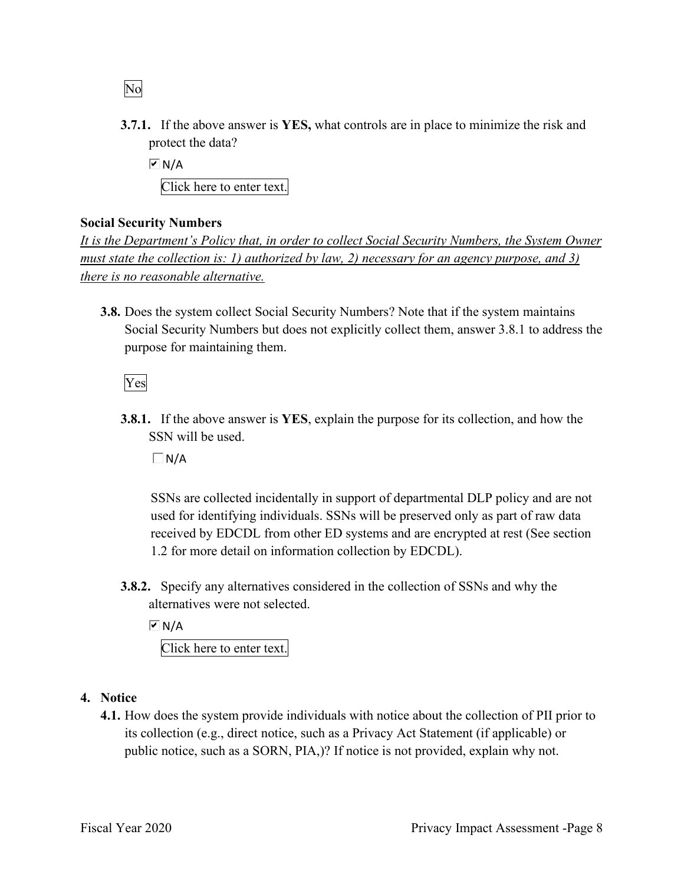No

**3.7.1.** If the above answer is **YES,** what controls are in place to minimize the risk and protect the data?

 Click here to enter text.  $\overline{\triangleright}$  N/A

# **Social Security Numbers**

*It is the Department's Policy that, in order to collect Social Security Numbers, the System Owner must state the collection is: 1) authorized by law, 2) necessary for an agency purpose, and 3) there is no reasonable alternative.* 

 **3.8.** Does the system collect Social Security Numbers? Note that if the system maintains Social Security Numbers but does not explicitly collect them, answer 3.8.1 to address the purpose for maintaining them.

Yes

**3.8.1.** If the above answer is **YES**, explain the purpose for its collection, and how the SSN will be used.

 $\Box$ N/A

 used for identifying individuals. SSNs will be preserved only as part of raw data SSNs are collected incidentally in support of departmental DLP policy and are not received by EDCDL from other ED systems and are encrypted at rest (See section 1.2 for more detail on information collection by EDCDL).

 **3.8.2.** Specify any alternatives considered in the collection of SSNs and why the alternatives were not selected.

 $\overline{M}$  N/A Click here to enter text.

# **4. Notice**

 its collection (e.g., direct notice, such as a Privacy Act Statement (if applicable) or public notice, such as a SORN, PIA,)? If notice is not provided, explain why not. **4.1.** How does the system provide individuals with notice about the collection of PII prior to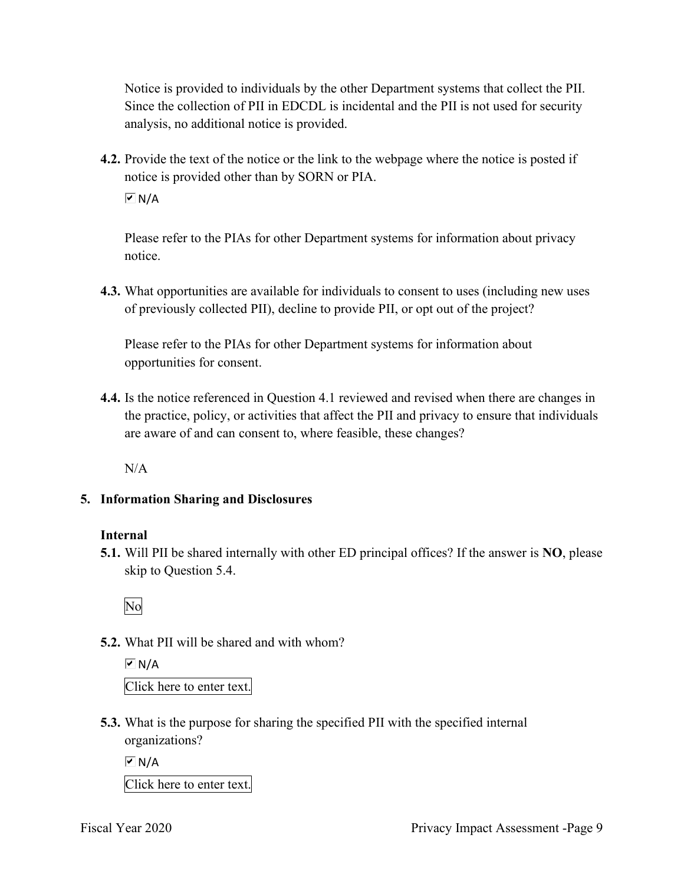Notice is provided to individuals by the other Department systems that collect the PII. Since the collection of PII in EDCDL is incidental and the PII is not used for security analysis, no additional notice is provided.

**4.2.** Provide the text of the notice or the link to the webpage where the notice is posted if notice is provided other than by SORN or PIA.  $\overline{M}$  N/A

Please refer to the PIAs for other Department systems for information about privacy notice.

**4.3.** What opportunities are available for individuals to consent to uses (including new uses of previously collected PII), decline to provide PII, or opt out of the project?

Please refer to the PIAs for other Department systems for information about opportunities for consent.

 are aware of and can consent to, where feasible, these changes? **4.4.** Is the notice referenced in Question 4.1 reviewed and revised when there are changes in the practice, policy, or activities that affect the PII and privacy to ensure that individuals

 $N/A$ 

# **5. Information Sharing and Disclosures**

# **Internal**

 **5.1.** Will PII be shared internally with other ED principal offices? If the answer is **NO**, please skip to Question 5.4.

No

**5.2.** What PII will be shared and with whom?

```
 
Click here to enter text. 
\sqrt{M} N/A
```
 organizations? **5.3.** What is the purpose for sharing the specified PII with the specified internal

 $\sqrt{M}$  N/A

Click here to enter text.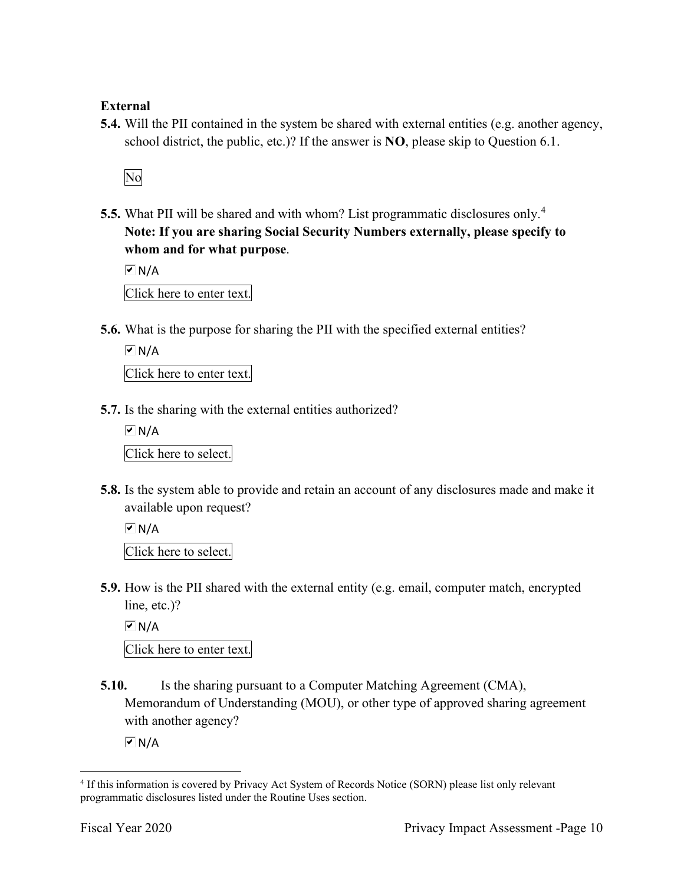# **External**

 school district, the public, etc.)? If the answer is **NO**, please skip to Question 6.1. **5.4.** Will the PII contained in the system be shared with external entities (e.g. another agency,

No

 **5.5.** What PII will be shared and with whom? List programmatic disclosures only.<sup>4</sup> **Note: If you are sharing Social Security Numbers externally, please specify to whom and for what purpose**.

 $\boxed{\mathsf{M}}$  N/A

Click here to enter text.

**5.6.** What is the purpose for sharing the PII with the specified external entities?

 Click here to enter text.  $\overline{V}$  N/A

**5.7.** Is the sharing with the external entities authorized?

l Click here to select.  $\overline{M}$  N/A

**5.8.** Is the system able to provide and retain an account of any disclosures made and make it available upon request?

 $\overline{M}$  N/A

Click here to select.

 **5.9.** How is the PII shared with the external entity (e.g. email, computer match, encrypted line, etc.)?

 Click here to enter text.  $\overline{M}$  N/A

**5.10.** Is the sharing pursuant to a Computer Matching Agreement (CMA), Memorandum of Understanding (MOU), or other type of approved sharing agreement with another agency?

 $\overline{M}$  N/A

<sup>&</sup>lt;sup>4</sup> If this information is covered by Privacy Act System of Records Notice (SORN) please list only relevant programmatic disclosures listed under the Routine Uses section.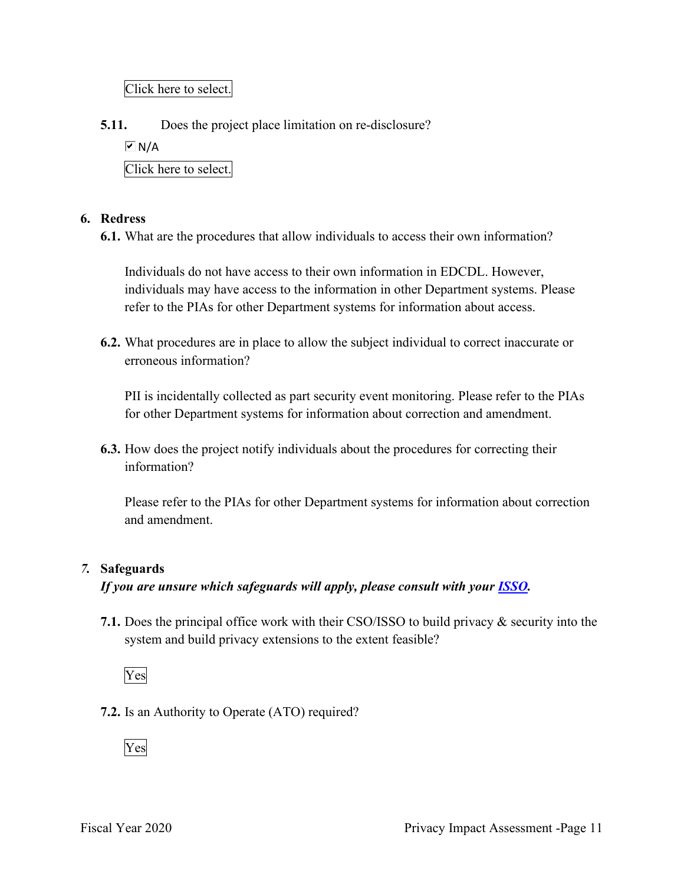Click here to select.

**5.11.** Does the project place limitation on re-disclosure?

 $\sqrt{M}$  N/A

Click here to select.

# **6. Redress**

**6.1.** What are the procedures that allow individuals to access their own information?

Individuals do not have access to their own information in EDCDL. However, individuals may have access to the information in other Department systems. Please refer to the PIAs for other Department systems for information about access.

**6.2.** What procedures are in place to allow the subject individual to correct inaccurate or erroneous information?

PII is incidentally collected as part security event monitoring. Please refer to the PIAs for other Department systems for information about correction and amendment.

**6.3.** How does the project notify individuals about the procedures for correcting their information?

Please refer to the PIAs for other Department systems for information about correction and amendment.

# *7.* **Safeguards**

 *If you are unsure which safeguards will apply, please consult with your ISSO.* 

 system and build privacy extensions to the extent feasible? **7.1.** Does the principal office work with their CSO/ISSO to build privacy & security into the

Yes

**7.2.** Is an Authority to Operate (ATO) required?

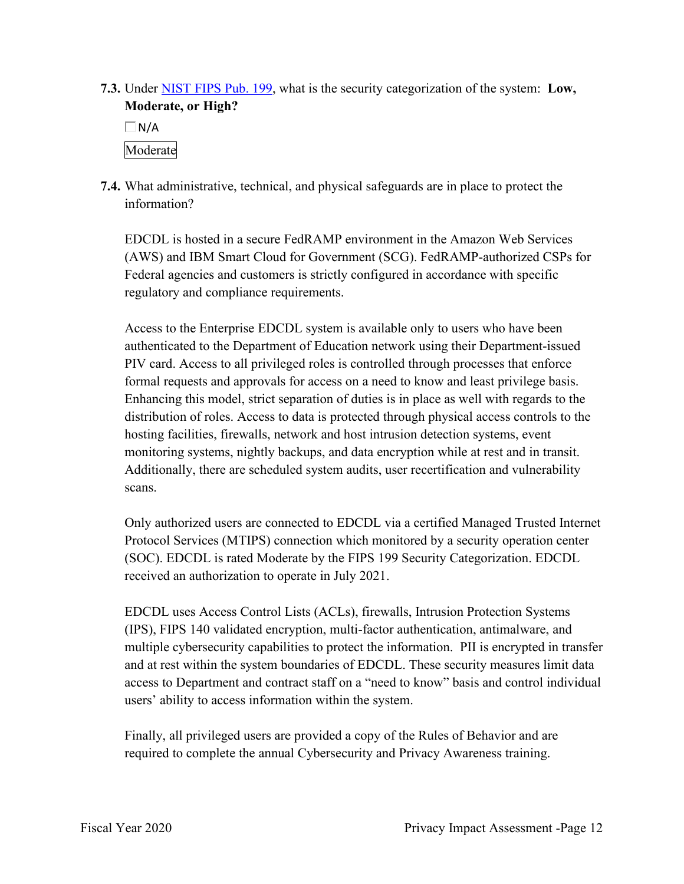**7.3.** Under NIST FIPS Pub. 199, what is the security categorization of the system: **Low, Moderate, or High?** 

 $\Box$  N/A Moderate

**7.4.** What administrative, technical, and physical safeguards are in place to protect the information?

EDCDL is hosted in a secure FedRAMP environment in the Amazon Web Services (AWS) and IBM Smart Cloud for Government (SCG). FedRAMP-authorized CSPs for Federal agencies and customers is strictly configured in accordance with specific regulatory and compliance requirements.

Access to the Enterprise EDCDL system is available only to users who have been authenticated to the Department of Education network using their Department-issued PIV card. Access to all privileged roles is controlled through processes that enforce formal requests and approvals for access on a need to know and least privilege basis. Enhancing this model, strict separation of duties is in place as well with regards to the distribution of roles. Access to data is protected through physical access controls to the hosting facilities, firewalls, network and host intrusion detection systems, event monitoring systems, nightly backups, and data encryption while at rest and in transit. Additionally, there are scheduled system audits, user recertification and vulnerability scans.

Only authorized users are connected to EDCDL via a certified Managed Trusted Internet Protocol Services (MTIPS) connection which monitored by a security operation center (SOC). EDCDL is rated Moderate by the FIPS 199 Security Categorization. EDCDL received an authorization to operate in July 2021.

 (IPS), FIPS 140 validated encryption, multi-factor authentication, antimalware, and EDCDL uses Access Control Lists (ACLs), firewalls, Intrusion Protection Systems multiple cybersecurity capabilities to protect the information. PII is encrypted in transfer and at rest within the system boundaries of EDCDL. These security measures limit data access to Department and contract staff on a "need to know" basis and control individual users' ability to access information within the system.

 Finally, all privileged users are provided a copy of the Rules of Behavior and are required to complete the annual Cybersecurity and Privacy Awareness training.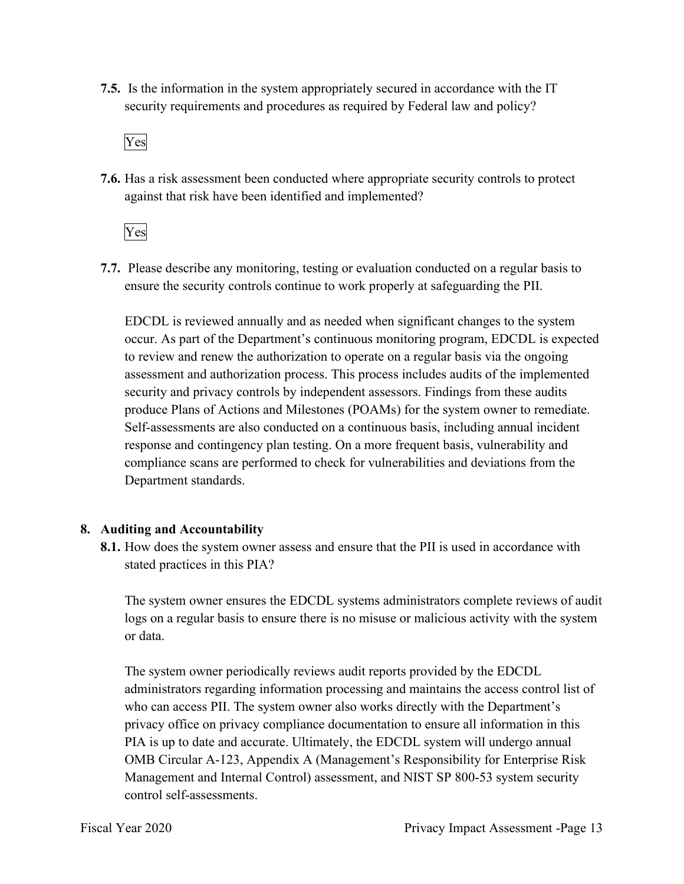**7.5.** Is the information in the system appropriately secured in accordance with the IT security requirements and procedures as required by Federal law and policy?

Yes

**7.6.** Has a risk assessment been conducted where appropriate security controls to protect against that risk have been identified and implemented?

Yes

 ensure the security controls continue to work properly at safeguarding the PII. **7.7.** Please describe any monitoring, testing or evaluation conducted on a regular basis to

EDCDL is reviewed annually and as needed when significant changes to the system occur. As part of the Department's continuous monitoring program, EDCDL is expected to review and renew the authorization to operate on a regular basis via the ongoing assessment and authorization process. This process includes audits of the implemented security and privacy controls by independent assessors. Findings from these audits produce Plans of Actions and Milestones (POAMs) for the system owner to remediate. Self-assessments are also conducted on a continuous basis, including annual incident response and contingency plan testing. On a more frequent basis, vulnerability and compliance scans are performed to check for vulnerabilities and deviations from the Department standards.

# **8. Auditing and Accountability**

 **8.1.** How does the system owner assess and ensure that the PII is used in accordance with stated practices in this PIA?

The system owner ensures the EDCDL systems administrators complete reviews of audit logs on a regular basis to ensure there is no misuse or malicious activity with the system or data.

The system owner periodically reviews audit reports provided by the EDCDL administrators regarding information processing and maintains the access control list of who can access PII. The system owner also works directly with the Department's privacy office on privacy compliance documentation to ensure all information in this PIA is up to date and accurate. Ultimately, the EDCDL system will undergo annual OMB Circular A-123, Appendix A (Management's Responsibility for Enterprise Risk Management and Internal Control) assessment, and NIST SP 800-53 system security control self-assessments.